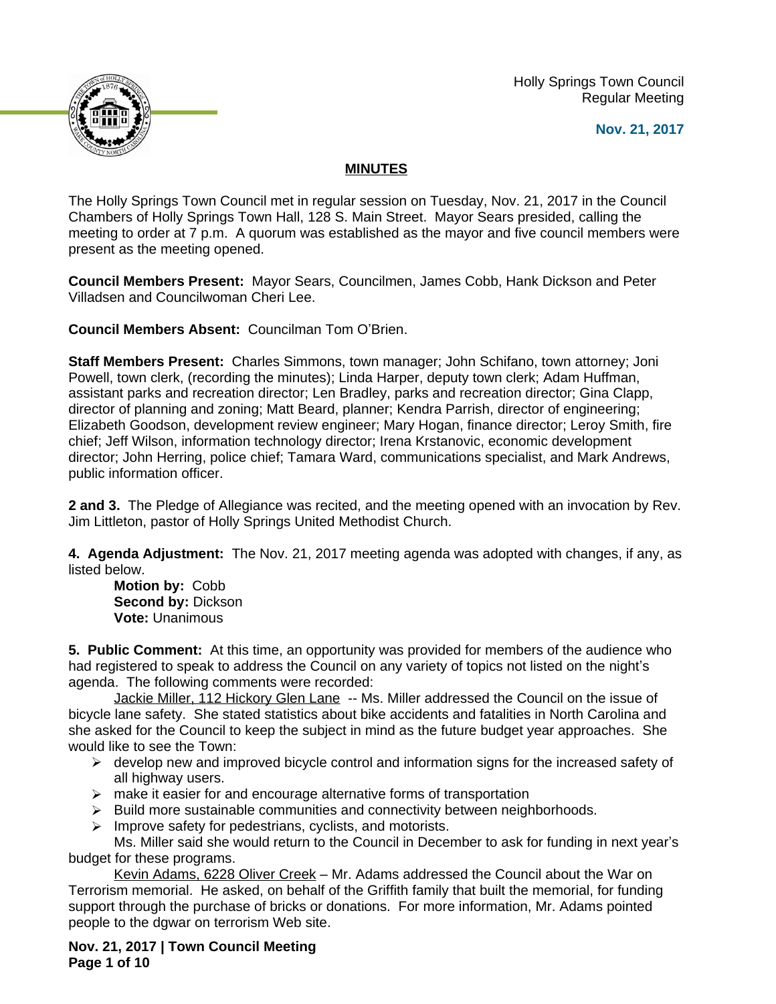Holly Springs Town Council Regular Meeting





## **MINUTES**

The Holly Springs Town Council met in regular session on Tuesday, Nov. 21, 2017 in the Council Chambers of Holly Springs Town Hall, 128 S. Main Street. Mayor Sears presided, calling the meeting to order at 7 p.m. A quorum was established as the mayor and five council members were present as the meeting opened.

**Council Members Present:** Mayor Sears, Councilmen, James Cobb, Hank Dickson and Peter Villadsen and Councilwoman Cheri Lee.

**Council Members Absent:** Councilman Tom O'Brien.

**Staff Members Present:** Charles Simmons, town manager; John Schifano, town attorney; Joni Powell, town clerk, (recording the minutes); Linda Harper, deputy town clerk; Adam Huffman, assistant parks and recreation director; Len Bradley, parks and recreation director; Gina Clapp, director of planning and zoning; Matt Beard, planner; Kendra Parrish, director of engineering; Elizabeth Goodson, development review engineer; Mary Hogan, finance director; Leroy Smith, fire chief; Jeff Wilson, information technology director; Irena Krstanovic, economic development director; John Herring, police chief; Tamara Ward, communications specialist, and Mark Andrews, public information officer.

**2 and 3.** The Pledge of Allegiance was recited, and the meeting opened with an invocation by Rev. Jim Littleton, pastor of Holly Springs United Methodist Church.

**4. Agenda Adjustment:** The Nov. 21, 2017 meeting agenda was adopted with changes, if any, as listed below.

**Motion by:** Cobb **Second by:** Dickson **Vote:** Unanimous

**5. Public Comment:** At this time, an opportunity was provided for members of the audience who had registered to speak to address the Council on any variety of topics not listed on the night's agenda. The following comments were recorded:

Jackie Miller, 112 Hickory Glen Lane -- Ms. Miller addressed the Council on the issue of bicycle lane safety. She stated statistics about bike accidents and fatalities in North Carolina and she asked for the Council to keep the subject in mind as the future budget year approaches. She would like to see the Town:

- $\triangleright$  develop new and improved bicycle control and information signs for the increased safety of all highway users.
- $\triangleright$  make it easier for and encourage alternative forms of transportation
- $\triangleright$  Build more sustainable communities and connectivity between neighborhoods.
- $\triangleright$  Improve safety for pedestrians, cyclists, and motorists.

Ms. Miller said she would return to the Council in December to ask for funding in next year's budget for these programs.

Kevin Adams, 6228 Oliver Creek – Mr. Adams addressed the Council about the War on Terrorism memorial. He asked, on behalf of the Griffith family that built the memorial, for funding support through the purchase of bricks or donations. For more information, Mr. Adams pointed people to the dgwar on terrorism Web site.

**Nov. 21, 2017 | Town Council Meeting Page 1 of 10**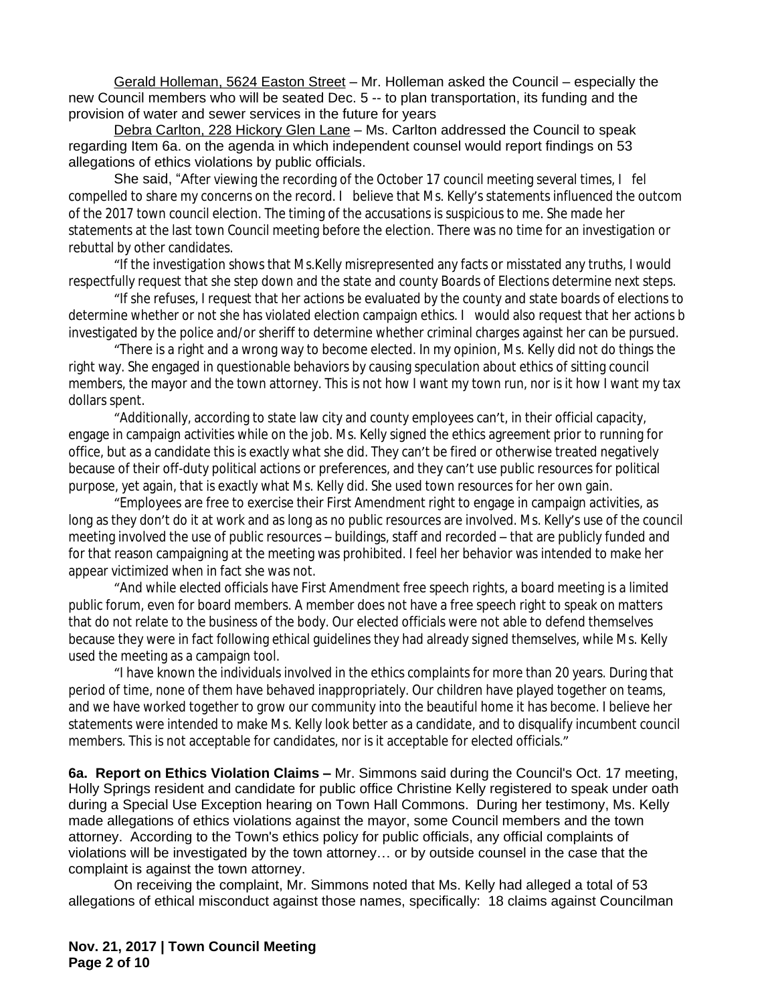Gerald Holleman, 5624 Easton Street – Mr. Holleman asked the Council – especially the new Council members who will be seated Dec. 5 -- to plan transportation, its funding and the provision of water and sewer services in the future for years

Debra Carlton, 228 Hickory Glen Lane – Ms. Carlton addressed the Council to speak regarding Item 6a. on the agenda in which independent counsel would report findings on 53 allegations of ethics violations by public officials.

She said, "After viewing the recording of the October 17 council meeting several times,  $I$  fel compelled to share my concerns on the record. I believe that Ms. Kelly's statements influenced the outcom of the 2017 town council election. The timing of the accusations is suspicious to me. She made her statements at the last town Council meeting before the election. There was no time for an investigation or rebuttal by other candidates.

"If the investigation shows that Ms.Kelly misrepresented any facts or misstated any truths, I would respectfully request that she step down and the state and county Boards of Elections determine next steps.

"If she refuses, I request that her actions be evaluated by the county and state boards of elections to determine whether or not she has violated election campaign ethics. I would also request that her actions b investigated by the police and/or sheriff to determine whether criminal charges against her can be pursued.

"There is a right and a wrong way to become elected. In my opinion, Ms. Kelly did not do things the right way. She engaged in questionable behaviors by causing speculation about ethics of sitting council members, the mayor and the town attorney. This is not how I want my town run, nor is it how I want my tax dollars spent.

"Additionally, according to state law city and county employees can't, in their official capacity, engage in campaign activities while on the job. Ms. Kelly signed the ethics agreement prior to running for office, but as a candidate this is exactly what she did. They can't be fired or otherwise treated negatively because of their off-duty political actions or preferences, and they can't use public resources for political purpose, yet again, that is exactly what Ms. Kelly did. She used town resources for her own gain.

"Employees are free to exercise their First Amendment right to engage in campaign activities, as long as they don't do it at work and as long as no public resources are involved. Ms. Kelly's use of the council meeting involved the use of public resources – buildings, staff and recorded – that are publicly funded and for that reason campaigning at the meeting was prohibited. I feel her behavior was intended to make her appear victimized when in fact she was not.

"And while elected officials have First Amendment free speech rights, a board meeting is a limited public forum, even for board members. A member does not have a free speech right to speak on matters that do not relate to the business of the body. Our elected officials were not able to defend themselves because they were in fact following ethical guidelines they had already signed themselves, while Ms. Kelly used the meeting as a campaign tool.

"I have known the individuals involved in the ethics complaints for more than 20 years. During that period of time, none of them have behaved inappropriately. Our children have played together on teams, and we have worked together to grow our community into the beautiful home it has become. I believe her statements were intended to make Ms. Kelly look better as a candidate, and to disqualify incumbent council members. This is not acceptable for candidates, nor is it acceptable for elected officials."

**6a. Report on Ethics Violation Claims –** Mr. Simmons said during the Council's Oct. 17 meeting, Holly Springs resident and candidate for public office Christine Kelly registered to speak under oath during a Special Use Exception hearing on Town Hall Commons. During her testimony, Ms. Kelly made allegations of ethics violations against the mayor, some Council members and the town attorney. According to the Town's ethics policy for public officials, any official complaints of violations will be investigated by the town attorney… or by outside counsel in the case that the complaint is against the town attorney.

On receiving the complaint, Mr. Simmons noted that Ms. Kelly had alleged a total of 53 allegations of ethical misconduct against those names, specifically: 18 claims against Councilman

**Nov. 21, 2017 | Town Council Meeting Page 2 of 10**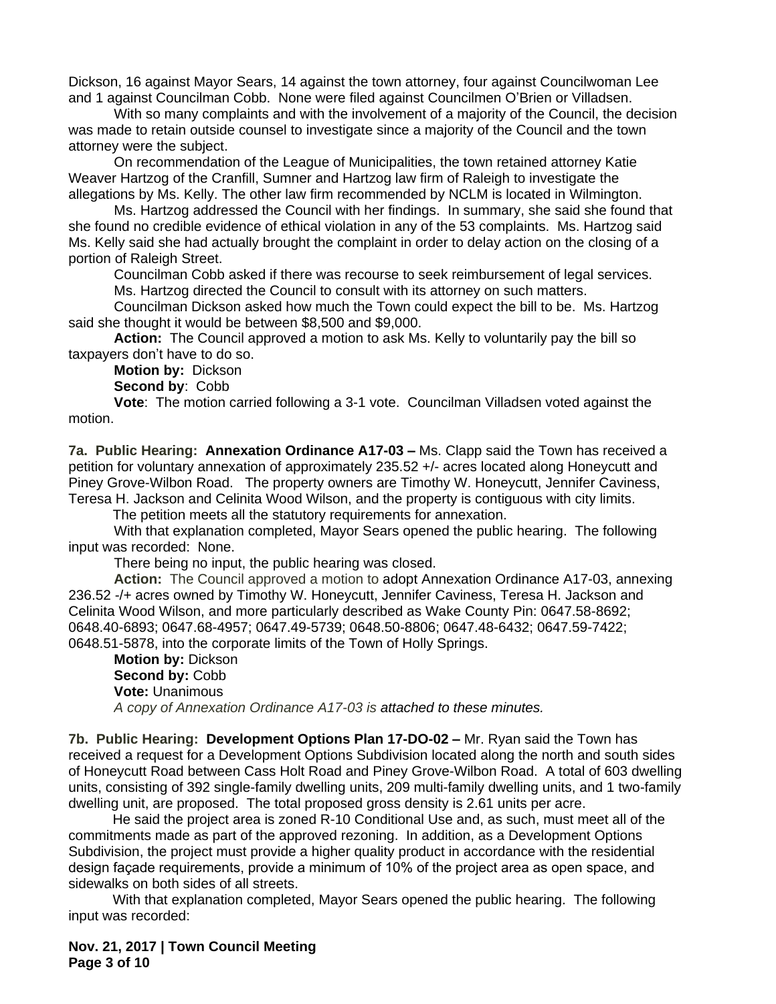Dickson, 16 against Mayor Sears, 14 against the town attorney, four against Councilwoman Lee and 1 against Councilman Cobb. None were filed against Councilmen O'Brien or Villadsen.

With so many complaints and with the involvement of a majority of the Council, the decision was made to retain outside counsel to investigate since a majority of the Council and the town attorney were the subject.

On recommendation of the League of Municipalities, the town retained attorney Katie Weaver Hartzog of the Cranfill, Sumner and Hartzog law firm of Raleigh to investigate the allegations by Ms. Kelly. The other law firm recommended by NCLM is located in Wilmington.

Ms. Hartzog addressed the Council with her findings. In summary, she said she found that she found no credible evidence of ethical violation in any of the 53 complaints. Ms. Hartzog said Ms. Kelly said she had actually brought the complaint in order to delay action on the closing of a portion of Raleigh Street.

Councilman Cobb asked if there was recourse to seek reimbursement of legal services.

Ms. Hartzog directed the Council to consult with its attorney on such matters.

Councilman Dickson asked how much the Town could expect the bill to be. Ms. Hartzog said she thought it would be between \$8,500 and \$9,000.

**Action:** The Council approved a motion to ask Ms. Kelly to voluntarily pay the bill so taxpayers don't have to do so.

**Motion by:** Dickson

**Second by**: Cobb

**Vote**: The motion carried following a 3-1 vote. Councilman Villadsen voted against the motion.

**7a. Public Hearing: Annexation Ordinance A17-03 – Ms. Clapp said the Town has received a** petition for voluntary annexation of approximately 235.52 +/- acres located along Honeycutt and Piney Grove-Wilbon Road. The property owners are Timothy W. Honeycutt, Jennifer Caviness, Teresa H. Jackson and Celinita Wood Wilson, and the property is contiguous with city limits.

The petition meets all the statutory requirements for annexation.

With that explanation completed, Mayor Sears opened the public hearing. The following input was recorded: None.

There being no input, the public hearing was closed.

**Action:** The Council approved a motion to adopt Annexation Ordinance A17-03, annexing 236.52 -/+ acres owned by Timothy W. Honeycutt, Jennifer Caviness, Teresa H. Jackson and Celinita Wood Wilson, and more particularly described as Wake County Pin: 0647.58-8692; 0648.40-6893; 0647.68-4957; 0647.49-5739; 0648.50-8806; 0647.48-6432; 0647.59-7422; 0648.51-5878, into the corporate limits of the Town of Holly Springs.

**Motion by:** Dickson **Second by:** Cobb **Vote:** Unanimous *A copy of Annexation Ordinance A17-03 is attached to these minutes.*

**7b. Public Hearing: Development Options Plan 17-DO-02 –** Mr. Ryan said the Town has received a request for a Development Options Subdivision located along the north and south sides of Honeycutt Road between Cass Holt Road and Piney Grove-Wilbon Road. A total of 603 dwelling units, consisting of 392 single-family dwelling units, 209 multi-family dwelling units, and 1 two-family dwelling unit, are proposed. The total proposed gross density is 2.61 units per acre.

He said the project area is zoned R-10 Conditional Use and, as such, must meet all of the commitments made as part of the approved rezoning. In addition, as a Development Options Subdivision, the project must provide a higher quality product in accordance with the residential design façade requirements, provide a minimum of 10% of the project area as open space, and sidewalks on both sides of all streets.

With that explanation completed, Mayor Sears opened the public hearing. The following input was recorded:

**Nov. 21, 2017 | Town Council Meeting Page 3 of 10**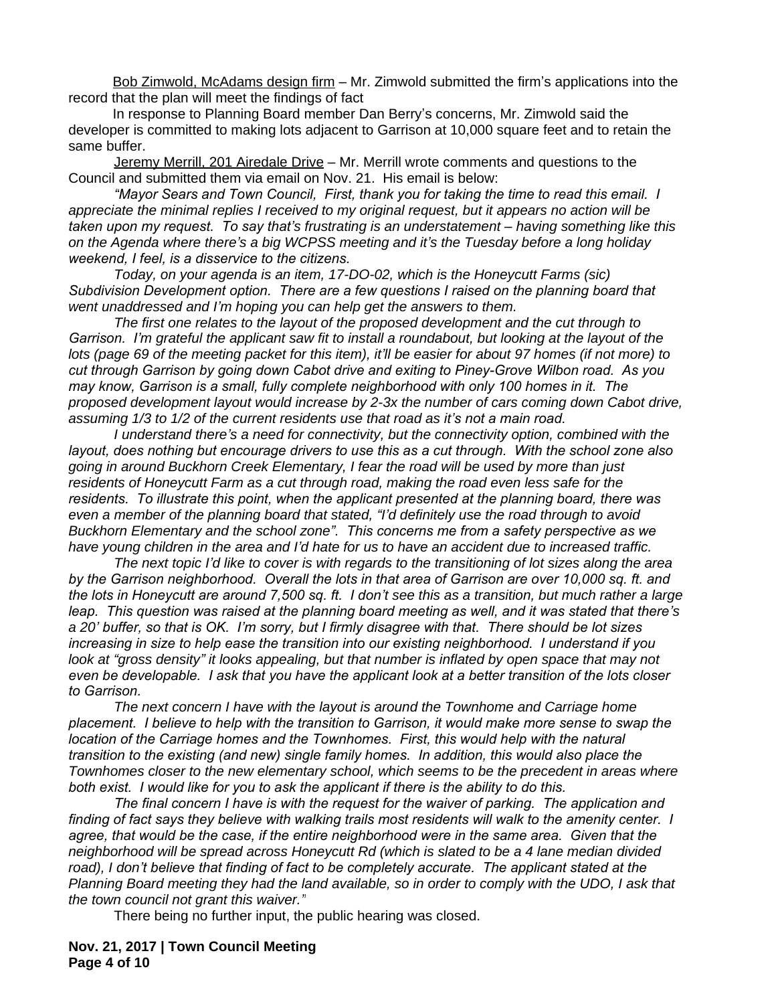Bob Zimwold, McAdams design firm – Mr. Zimwold submitted the firm's applications into the record that the plan will meet the findings of fact

In response to Planning Board member Dan Berry's concerns, Mr. Zimwold said the developer is committed to making lots adjacent to Garrison at 10,000 square feet and to retain the same buffer.

Jeremy Merrill, 201 Airedale Drive – Mr. Merrill wrote comments and questions to the Council and submitted them via email on Nov. 21. His email is below:

*"Mayor Sears and Town Council, First, thank you for taking the time to read this email. I appreciate the minimal replies I received to my original request, but it appears no action will be taken upon my request. To say that's frustrating is an understatement – having something like this on the Agenda where there's a big WCPSS meeting and it's the Tuesday before a long holiday weekend, I feel, is a disservice to the citizens.* 

*Today, on your agenda is an item, 17-DO-02, which is the Honeycutt Farms (sic) Subdivision Development option. There are a few questions I raised on the planning board that went unaddressed and I'm hoping you can help get the answers to them.*

*The first one relates to the layout of the proposed development and the cut through to Garrison. I'm grateful the applicant saw fit to install a roundabout, but looking at the layout of the lots (page 69 of the meeting packet for this item), it'll be easier for about 97 homes (if not more) to cut through Garrison by going down Cabot drive and exiting to Piney-Grove Wilbon road. As you may know, Garrison is a small, fully complete neighborhood with only 100 homes in it. The proposed development layout would increase by 2-3x the number of cars coming down Cabot drive, assuming 1/3 to 1/2 of the current residents use that road as it's not a main road.* 

*I understand there's a need for connectivity, but the connectivity option, combined with the layout, does nothing but encourage drivers to use this as a cut through. With the school zone also going in around Buckhorn Creek Elementary, I fear the road will be used by more than just residents of Honeycutt Farm as a cut through road, making the road even less safe for the residents. To illustrate this point, when the applicant presented at the planning board, there was even a member of the planning board that stated, "I'd definitely use the road through to avoid Buckhorn Elementary and the school zone". This concerns me from a safety perspective as we have young children in the area and I'd hate for us to have an accident due to increased traffic.*

*The next topic I'd like to cover is with regards to the transitioning of lot sizes along the area by the Garrison neighborhood. Overall the lots in that area of Garrison are over 10,000 sq. ft. and the lots in Honeycutt are around 7,500 sq. ft. I don't see this as a transition, but much rather a large leap. This question was raised at the planning board meeting as well, and it was stated that there's a 20' buffer, so that is OK. I'm sorry, but I firmly disagree with that. There should be lot sizes increasing in size to help ease the transition into our existing neighborhood. I understand if you look at "gross density" it looks appealing, but that number is inflated by open space that may not even be developable. I ask that you have the applicant look at a better transition of the lots closer to Garrison.* 

*The next concern I have with the layout is around the Townhome and Carriage home placement. I believe to help with the transition to Garrison, it would make more sense to swap the location of the Carriage homes and the Townhomes. First, this would help with the natural transition to the existing (and new) single family homes. In addition, this would also place the Townhomes closer to the new elementary school, which seems to be the precedent in areas where both exist. I would like for you to ask the applicant if there is the ability to do this.*

*The final concern I have is with the request for the waiver of parking. The application and finding of fact says they believe with walking trails most residents will walk to the amenity center. I agree, that would be the case, if the entire neighborhood were in the same area. Given that the neighborhood will be spread across Honeycutt Rd (which is slated to be a 4 lane median divided road), I don't believe that finding of fact to be completely accurate. The applicant stated at the Planning Board meeting they had the land available, so in order to comply with the UDO, I ask that the town council not grant this waiver."*

There being no further input, the public hearing was closed.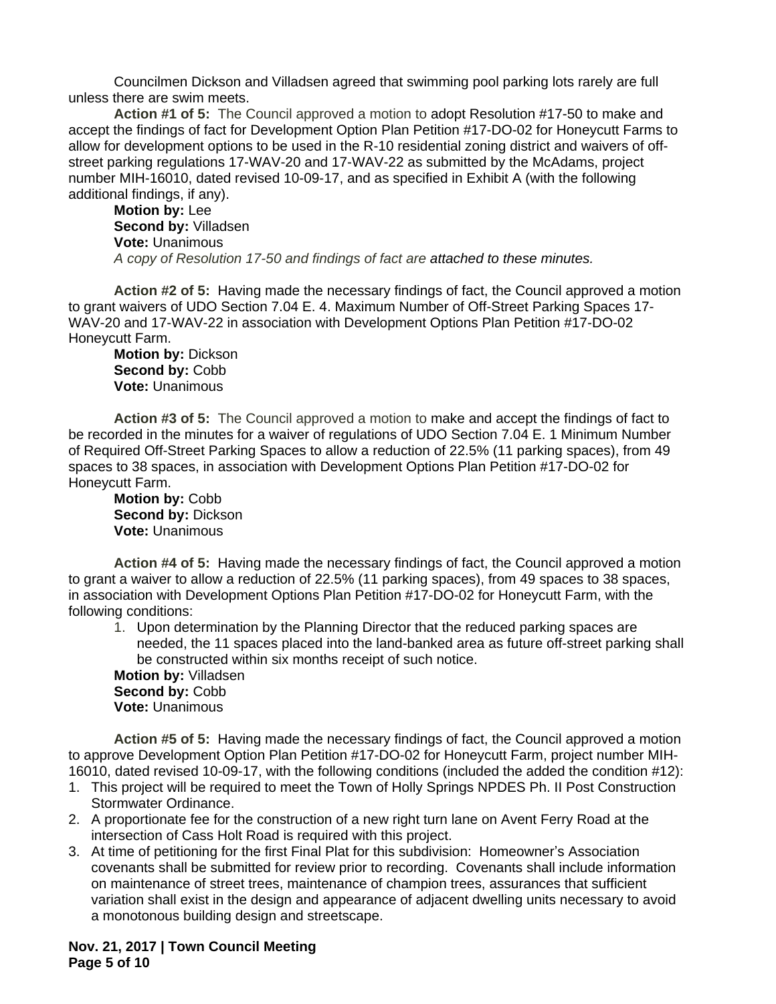Councilmen Dickson and Villadsen agreed that swimming pool parking lots rarely are full unless there are swim meets.

**Action #1 of 5:** The Council approved a motion to adopt Resolution #17-50 to make and accept the findings of fact for Development Option Plan Petition #17-DO-02 for Honeycutt Farms to allow for development options to be used in the R-10 residential zoning district and waivers of offstreet parking regulations 17-WAV-20 and 17-WAV-22 as submitted by the McAdams, project number MIH-16010, dated revised 10-09-17, and as specified in Exhibit A (with the following additional findings, if any).

**Motion by:** Lee **Second by:** Villadsen **Vote:** Unanimous *A copy of Resolution 17-50 and findings of fact are attached to these minutes.*

**Action #2 of 5:** Having made the necessary findings of fact, the Council approved a motion to grant waivers of UDO Section 7.04 E. 4. Maximum Number of Off-Street Parking Spaces 17- WAV-20 and 17-WAV-22 in association with Development Options Plan Petition #17-DO-02 Honeycutt Farm.

**Motion by:** Dickson Second by: Cobb **Vote:** Unanimous

**Action #3 of 5:** The Council approved a motion to make and accept the findings of fact to be recorded in the minutes for a waiver of regulations of UDO Section 7.04 E. 1 Minimum Number of Required Off-Street Parking Spaces to allow a reduction of 22.5% (11 parking spaces), from 49 spaces to 38 spaces, in association with Development Options Plan Petition #17-DO-02 for Honeycutt Farm.

**Motion by:** Cobb **Second by:** Dickson **Vote:** Unanimous

**Action #4 of 5:** Having made the necessary findings of fact, the Council approved a motion to grant a waiver to allow a reduction of 22.5% (11 parking spaces), from 49 spaces to 38 spaces, in association with Development Options Plan Petition #17-DO-02 for Honeycutt Farm, with the following conditions:

1. Upon determination by the Planning Director that the reduced parking spaces are needed, the 11 spaces placed into the land-banked area as future off-street parking shall be constructed within six months receipt of such notice.

**Motion by:** Villadsen **Second by:** Cobb **Vote:** Unanimous

**Action #5 of 5:** Having made the necessary findings of fact, the Council approved a motion to approve Development Option Plan Petition #17-DO-02 for Honeycutt Farm, project number MIH-16010, dated revised 10-09-17, with the following conditions (included the added the condition #12):

- 1. This project will be required to meet the Town of Holly Springs NPDES Ph. II Post Construction Stormwater Ordinance.
- 2. A proportionate fee for the construction of a new right turn lane on Avent Ferry Road at the intersection of Cass Holt Road is required with this project.
- 3. At time of petitioning for the first Final Plat for this subdivision: Homeowner's Association covenants shall be submitted for review prior to recording. Covenants shall include information on maintenance of street trees, maintenance of champion trees, assurances that sufficient variation shall exist in the design and appearance of adjacent dwelling units necessary to avoid a monotonous building design and streetscape.

**Nov. 21, 2017 | Town Council Meeting Page 5 of 10**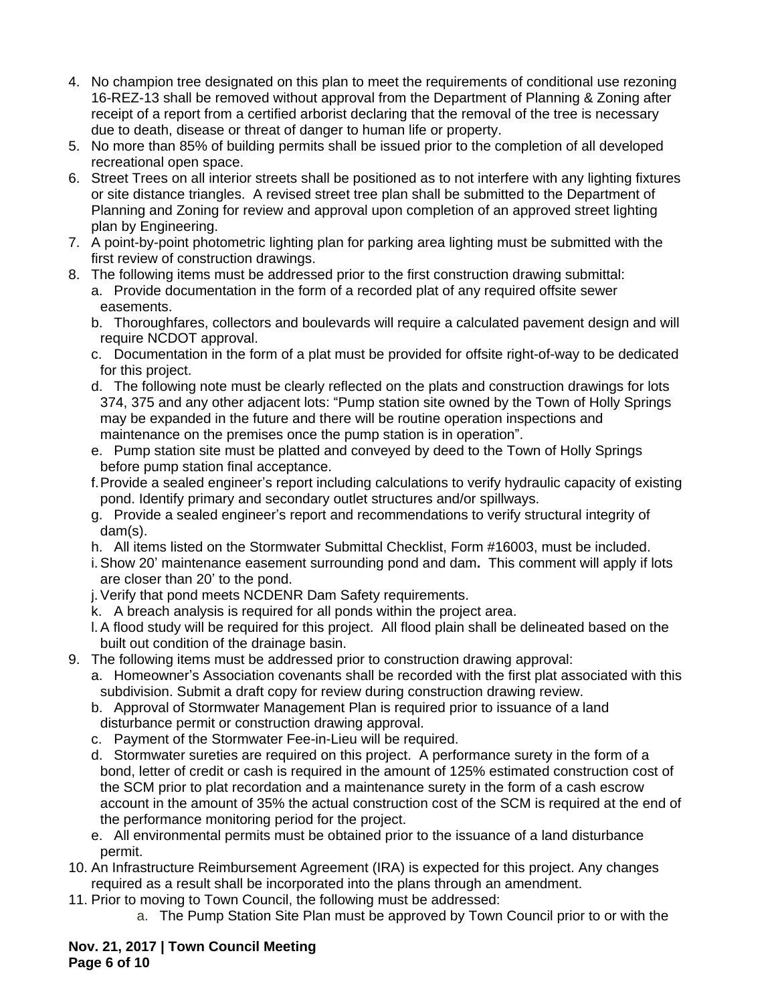- 4. No champion tree designated on this plan to meet the requirements of conditional use rezoning 16-REZ-13 shall be removed without approval from the Department of Planning & Zoning after receipt of a report from a certified arborist declaring that the removal of the tree is necessary due to death, disease or threat of danger to human life or property.
- 5. No more than 85% of building permits shall be issued prior to the completion of all developed recreational open space.
- 6. Street Trees on all interior streets shall be positioned as to not interfere with any lighting fixtures or site distance triangles. A revised street tree plan shall be submitted to the Department of Planning and Zoning for review and approval upon completion of an approved street lighting plan by Engineering.
- 7. A point-by-point photometric lighting plan for parking area lighting must be submitted with the first review of construction drawings.
- 8. The following items must be addressed prior to the first construction drawing submittal: a. Provide documentation in the form of a recorded plat of any required offsite sewer easements.
	- b. Thoroughfares, collectors and boulevards will require a calculated pavement design and will require NCDOT approval.
	- c. Documentation in the form of a plat must be provided for offsite right-of-way to be dedicated for this project.
	- d. The following note must be clearly reflected on the plats and construction drawings for lots 374, 375 and any other adjacent lots: "Pump station site owned by the Town of Holly Springs may be expanded in the future and there will be routine operation inspections and maintenance on the premises once the pump station is in operation".
	- e. Pump station site must be platted and conveyed by deed to the Town of Holly Springs before pump station final acceptance.
	- f.Provide a sealed engineer's report including calculations to verify hydraulic capacity of existing pond. Identify primary and secondary outlet structures and/or spillways.
	- g. Provide a sealed engineer's report and recommendations to verify structural integrity of dam(s).
	- h. All items listed on the Stormwater Submittal Checklist, Form #16003, must be included.
	- i.Show 20' maintenance easement surrounding pond and dam**.** This comment will apply if lots are closer than 20' to the pond.
	- j.Verify that pond meets NCDENR Dam Safety requirements.
	- k. A breach analysis is required for all ponds within the project area.
	- l.A flood study will be required for this project. All flood plain shall be delineated based on the built out condition of the drainage basin.
- 9. The following items must be addressed prior to construction drawing approval:
	- a. Homeowner's Association covenants shall be recorded with the first plat associated with this subdivision. Submit a draft copy for review during construction drawing review.
	- b. Approval of Stormwater Management Plan is required prior to issuance of a land disturbance permit or construction drawing approval.
	- c. Payment of the Stormwater Fee-in-Lieu will be required.
	- d. Stormwater sureties are required on this project. A performance surety in the form of a bond, letter of credit or cash is required in the amount of 125% estimated construction cost of the SCM prior to plat recordation and a maintenance surety in the form of a cash escrow account in the amount of 35% the actual construction cost of the SCM is required at the end of the performance monitoring period for the project.
	- e. All environmental permits must be obtained prior to the issuance of a land disturbance permit.
- 10. An Infrastructure Reimbursement Agreement (IRA) is expected for this project. Any changes required as a result shall be incorporated into the plans through an amendment.
- 11. Prior to moving to Town Council, the following must be addressed:
	- a. The Pump Station Site Plan must be approved by Town Council prior to or with the

## **Nov. 21, 2017 | Town Council Meeting Page 6 of 10**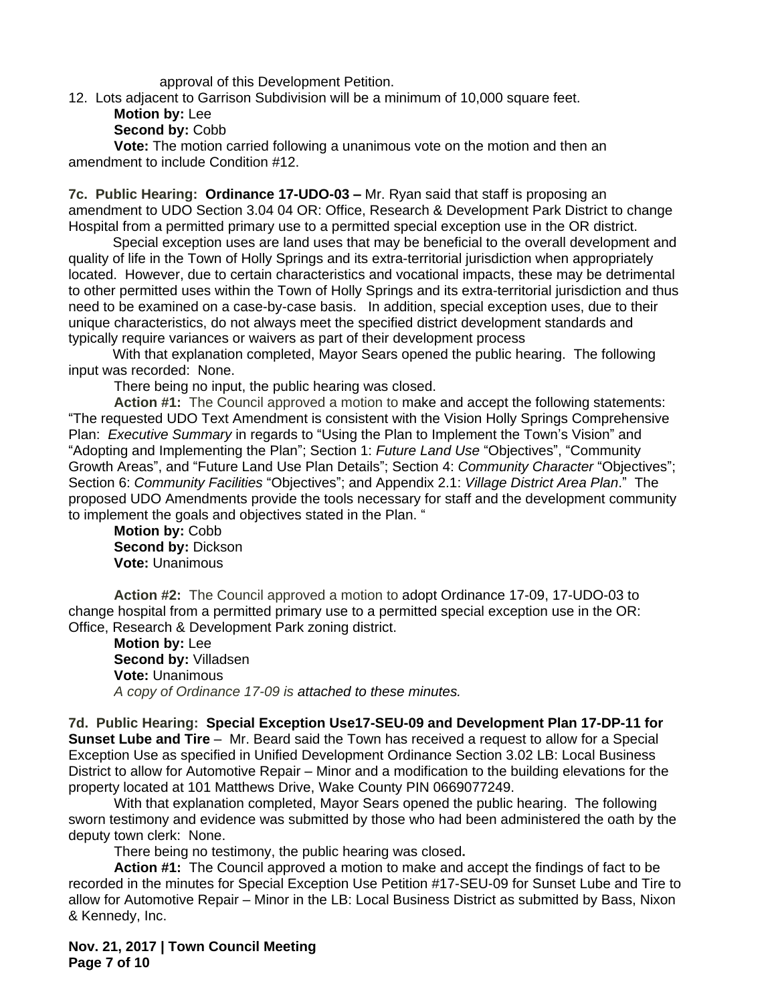approval of this Development Petition.

- 12. Lots adjacent to Garrison Subdivision will be a minimum of 10,000 square feet.
	- **Motion by:** Lee
	- **Second by:** Cobb

**Vote:** The motion carried following a unanimous vote on the motion and then an amendment to include Condition #12.

**7c. Public Hearing: Ordinance 17-UDO-03 –** Mr. Ryan said that staff is proposing an amendment to UDO Section 3.04 04 OR: Office, Research & Development Park District to change Hospital from a permitted primary use to a permitted special exception use in the OR district.

Special exception uses are land uses that may be beneficial to the overall development and quality of life in the Town of Holly Springs and its extra-territorial jurisdiction when appropriately located. However, due to certain characteristics and vocational impacts, these may be detrimental to other permitted uses within the Town of Holly Springs and its extra-territorial jurisdiction and thus need to be examined on a case-by-case basis. In addition, special exception uses, due to their unique characteristics, do not always meet the specified district development standards and typically require variances or waivers as part of their development process

With that explanation completed, Mayor Sears opened the public hearing. The following input was recorded: None.

There being no input, the public hearing was closed.

**Action #1:** The Council approved a motion to make and accept the following statements: "The requested UDO Text Amendment is consistent with the Vision Holly Springs Comprehensive Plan: *Executive Summary* in regards to "Using the Plan to Implement the Town's Vision" and "Adopting and Implementing the Plan"; Section 1: *Future Land Use* "Objectives", "Community Growth Areas", and "Future Land Use Plan Details"; Section 4: *Community Character* "Objectives"; Section 6: *Community Facilities* "Objectives"; and Appendix 2.1: *Village District Area Plan*." The proposed UDO Amendments provide the tools necessary for staff and the development community to implement the goals and objectives stated in the Plan. "

**Motion by:** Cobb **Second by:** Dickson **Vote:** Unanimous

**Action #2:** The Council approved a motion to adopt Ordinance 17-09, 17-UDO-03 to change hospital from a permitted primary use to a permitted special exception use in the OR: Office, Research & Development Park zoning district.

**Motion by:** Lee **Second by:** Villadsen **Vote:** Unanimous *A copy of Ordinance 17-09 is attached to these minutes.*

**7d. Public Hearing: Special Exception Use17-SEU-09 and Development Plan 17-DP-11 for Sunset Lube and Tire** – Mr. Beard said the Town has received a request to allow for a Special Exception Use as specified in Unified Development Ordinance Section 3.02 LB: Local Business District to allow for Automotive Repair – Minor and a modification to the building elevations for the property located at 101 Matthews Drive, Wake County PIN 0669077249.

With that explanation completed, Mayor Sears opened the public hearing. The following sworn testimony and evidence was submitted by those who had been administered the oath by the deputy town clerk: None.

There being no testimony, the public hearing was closed**.**

**Action #1:** The Council approved a motion to make and accept the findings of fact to be recorded in the minutes for Special Exception Use Petition #17-SEU-09 for Sunset Lube and Tire to allow for Automotive Repair – Minor in the LB: Local Business District as submitted by Bass, Nixon & Kennedy, Inc.

**Nov. 21, 2017 | Town Council Meeting Page 7 of 10**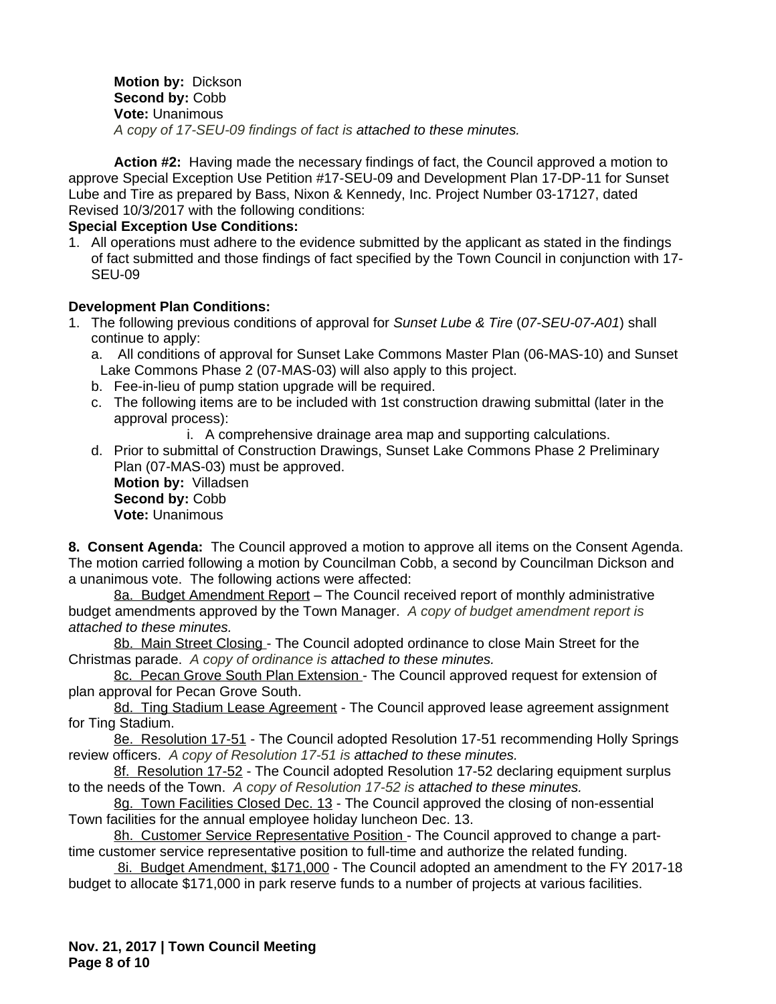**Motion by:** Dickson **Second by:** Cobb **Vote:** Unanimous *A copy of 17-SEU-09 findings of fact is attached to these minutes.*

**Action #2:** Having made the necessary findings of fact, the Council approved a motion to approve Special Exception Use Petition #17-SEU-09 and Development Plan 17-DP-11 for Sunset Lube and Tire as prepared by Bass, Nixon & Kennedy, Inc. Project Number 03-17127, dated Revised 10/3/2017 with the following conditions:

## **Special Exception Use Conditions:**

1. All operations must adhere to the evidence submitted by the applicant as stated in the findings of fact submitted and those findings of fact specified by the Town Council in conjunction with 17- SEU-09

## **Development Plan Conditions:**

- 1. The following previous conditions of approval for *Sunset Lube & Tire* (*07-SEU-07-A01*) shall continue to apply:
	- a. All conditions of approval for Sunset Lake Commons Master Plan (06-MAS-10) and Sunset Lake Commons Phase 2 (07-MAS-03) will also apply to this project.
	- b. Fee-in-lieu of pump station upgrade will be required.
	- c. The following items are to be included with 1st construction drawing submittal (later in the approval process):

i. A comprehensive drainage area map and supporting calculations.

d. Prior to submittal of Construction Drawings, Sunset Lake Commons Phase 2 Preliminary Plan (07-MAS-03) must be approved.

**Motion by:** Villadsen **Second by:** Cobb **Vote:** Unanimous

**8. Consent Agenda:** The Council approved a motion to approve all items on the Consent Agenda. The motion carried following a motion by Councilman Cobb, a second by Councilman Dickson and a unanimous vote. The following actions were affected:

8a. Budget Amendment Report - The Council received report of monthly administrative budget amendments approved by the Town Manager. *A copy of budget amendment report is attached to these minutes.*

8b. Main Street Closing - The Council adopted ordinance to close Main Street for the Christmas parade. *A copy of ordinance is attached to these minutes.*

8c. Pecan Grove South Plan Extension - The Council approved request for extension of plan approval for Pecan Grove South.

8d. Ting Stadium Lease Agreement - The Council approved lease agreement assignment for Ting Stadium.

8e. Resolution 17-51 - The Council adopted Resolution 17-51 recommending Holly Springs review officers. *A copy of Resolution 17-51 is attached to these minutes.*

8f. Resolution 17-52 - The Council adopted Resolution 17-52 declaring equipment surplus to the needs of the Town. *A copy of Resolution 17-52 is attached to these minutes.*

8g. Town Facilities Closed Dec. 13 - The Council approved the closing of non-essential Town facilities for the annual employee holiday luncheon Dec. 13.

8h. Customer Service Representative Position - The Council approved to change a parttime customer service representative position to full-time and authorize the related funding.

8i. Budget Amendment, \$171,000 - The Council adopted an amendment to the FY 2017-18 budget to allocate \$171,000 in park reserve funds to a number of projects at various facilities.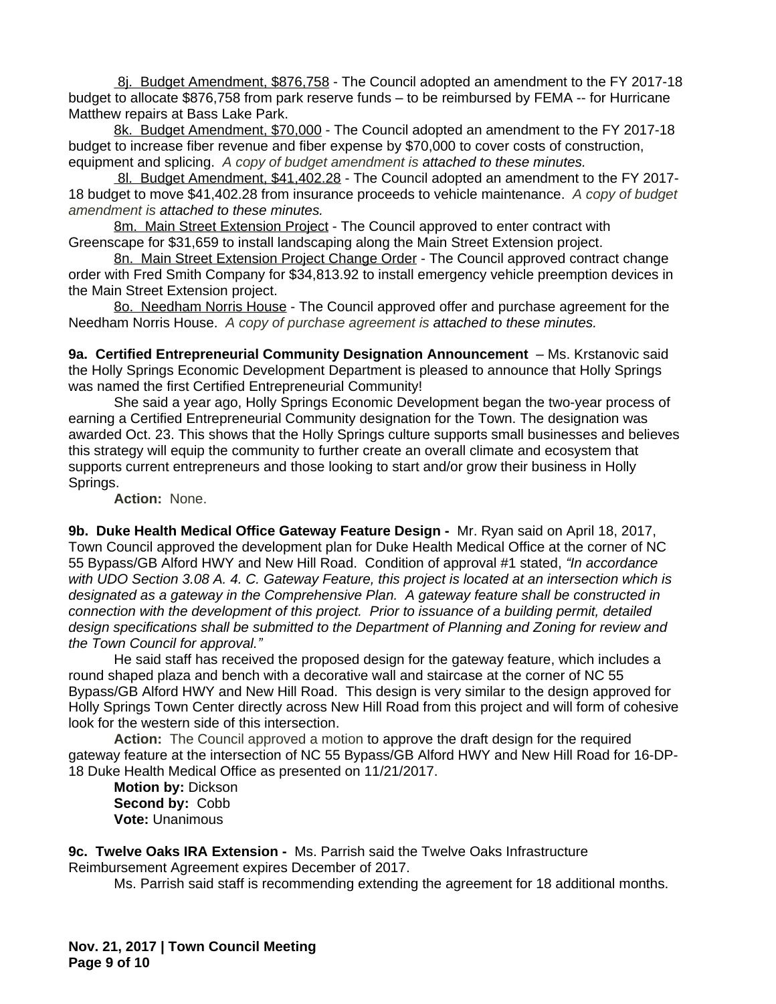8i. Budget Amendment, \$876,758 - The Council adopted an amendment to the FY 2017-18 budget to allocate \$876,758 from park reserve funds – to be reimbursed by FEMA -- for Hurricane Matthew repairs at Bass Lake Park.

8k. Budget Amendment, \$70,000 - The Council adopted an amendment to the FY 2017-18 budget to increase fiber revenue and fiber expense by \$70,000 to cover costs of construction, equipment and splicing. *A copy of budget amendment is attached to these minutes.*

8l. Budget Amendment, \$41,402.28 - The Council adopted an amendment to the FY 2017- 18 budget to move \$41,402.28 from insurance proceeds to vehicle maintenance. *A copy of budget amendment is attached to these minutes.*

8m. Main Street Extension Project - The Council approved to enter contract with Greenscape for \$31,659 to install landscaping along the Main Street Extension project.

8n. Main Street Extension Project Change Order - The Council approved contract change order with Fred Smith Company for \$34,813.92 to install emergency vehicle preemption devices in the Main Street Extension project.

8o. Needham Norris House - The Council approved offer and purchase agreement for the Needham Norris House. *A copy of purchase agreement is attached to these minutes.*

**9a. Certified Entrepreneurial Community Designation Announcement** – Ms. Krstanovic said the Holly Springs Economic Development Department is pleased to announce that Holly Springs was named the first Certified Entrepreneurial Community!

She said a year ago, Holly Springs Economic Development began the two-year process of earning a Certified Entrepreneurial Community designation for the Town. The designation was awarded Oct. 23. This shows that the Holly Springs culture supports small businesses and believes this strategy will equip the community to further create an overall climate and ecosystem that supports current entrepreneurs and those looking to start and/or grow their business in Holly Springs.

**Action:** None.

**9b. Duke Health Medical Office Gateway Feature Design -** Mr. Ryan said on April 18, 2017, Town Council approved the development plan for Duke Health Medical Office at the corner of NC 55 Bypass/GB Alford HWY and New Hill Road. Condition of approval #1 stated, *"In accordance with UDO Section 3.08 A. 4. C. Gateway Feature, this project is located at an intersection which is designated as a gateway in the Comprehensive Plan. A gateway feature shall be constructed in connection with the development of this project. Prior to issuance of a building permit, detailed design specifications shall be submitted to the Department of Planning and Zoning for review and the Town Council for approval."*

He said staff has received the proposed design for the gateway feature, which includes a round shaped plaza and bench with a decorative wall and staircase at the corner of NC 55 Bypass/GB Alford HWY and New Hill Road. This design is very similar to the design approved for Holly Springs Town Center directly across New Hill Road from this project and will form of cohesive look for the western side of this intersection.

**Action:** The Council approved a motion to approve the draft design for the required gateway feature at the intersection of NC 55 Bypass/GB Alford HWY and New Hill Road for 16-DP-18 Duke Health Medical Office as presented on 11/21/2017.

**Motion by:** Dickson **Second by:** Cobb **Vote:** Unanimous

**9c. Twelve Oaks IRA Extension -** Ms. Parrish said the Twelve Oaks Infrastructure Reimbursement Agreement expires December of 2017.

Ms. Parrish said staff is recommending extending the agreement for 18 additional months.